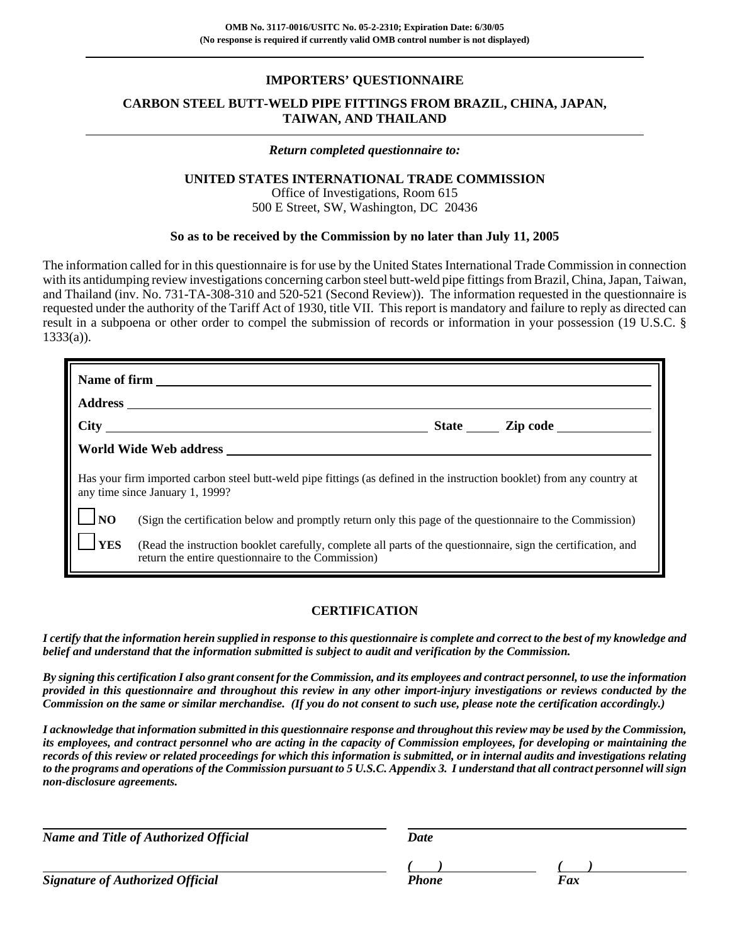## **IMPORTERS' QUESTIONNAIRE**

# **CARBON STEEL BUTT-WELD PIPE FITTINGS FROM BRAZIL, CHINA, JAPAN, TAIWAN, AND THAILAND**

#### *Return completed questionnaire to:*

### **UNITED STATES INTERNATIONAL TRADE COMMISSION**

Office of Investigations, Room 615 500 E Street, SW, Washington, DC 20436

### **So as to be received by the Commission by no later than July 11, 2005**

The information called for in this questionnaire is for use by the United States International Trade Commission in connection with its antidumping review investigations concerning carbon steel butt-weld pipe fittings from Brazil, China, Japan, Taiwan, and Thailand (inv. No. 731-TA-308-310 and 520-521 (Second Review)). The information requested in the questionnaire is requested under the authority of the Tariff Act of 1930, title VII. This report is mandatory and failure to reply as directed can result in a subpoena or other order to compel the submission of records or information in your possession (19 U.S.C. §  $1333(a)$ ).

|                                                                                                                                                            | Name of firm                                                                                                                                                        |  |  |  |  |  |
|------------------------------------------------------------------------------------------------------------------------------------------------------------|---------------------------------------------------------------------------------------------------------------------------------------------------------------------|--|--|--|--|--|
|                                                                                                                                                            |                                                                                                                                                                     |  |  |  |  |  |
|                                                                                                                                                            |                                                                                                                                                                     |  |  |  |  |  |
|                                                                                                                                                            |                                                                                                                                                                     |  |  |  |  |  |
| Has your firm imported carbon steel butt-weld pipe fittings (as defined in the instruction booklet) from any country at<br>any time since January 1, 1999? |                                                                                                                                                                     |  |  |  |  |  |
| N <sub>O</sub>                                                                                                                                             | (Sign the certification below and promptly return only this page of the questionnaire to the Commission)                                                            |  |  |  |  |  |
| <b>YES</b>                                                                                                                                                 | (Read the instruction booklet carefully, complete all parts of the questionnaire, sign the certification, and<br>return the entire questionnaire to the Commission) |  |  |  |  |  |

# **CERTIFICATION**

*I certify that the information herein supplied in response to this questionnaire is complete and correct to the best of my knowledge and belief and understand that the information submitted is subject to audit and verification by the Commission.*

*By signing this certification I also grant consent for the Commission, and its employees and contract personnel, to use the information provided in this questionnaire and throughout this review in any other import-injury investigations or reviews conducted by the Commission on the same or similar merchandise. (If you do not consent to such use, please note the certification accordingly.)*

*I acknowledge that information submitted in this questionnaire response and throughout this review may be used by the Commission, its employees, and contract personnel who are acting in the capacity of Commission employees, for developing or maintaining the records of this review or related proceedings for which this information is submitted, or in internal audits and investigations relating to the programs and operations of the Commission pursuant to 5 U.S.C. Appendix 3. I understand that all contract personnel will sign non-disclosure agreements.*

*Name and Title of Authorized Official* Date Date

**Signature of Authorized Official Phone Faxce Phone** Phone

*( ) ( )*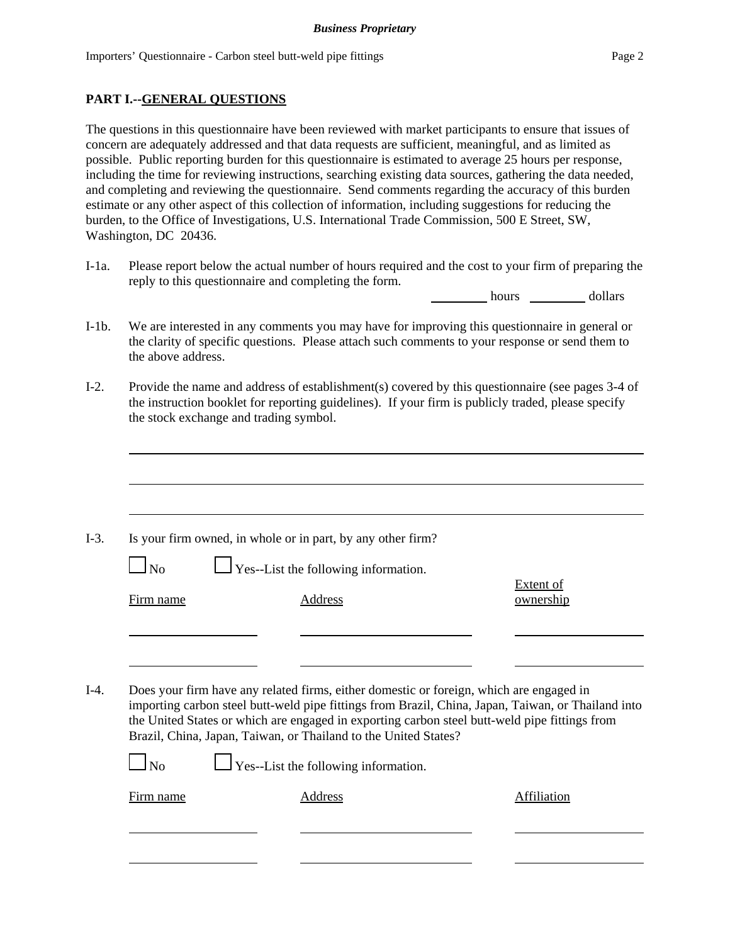### **PART I.--GENERAL QUESTIONS**

The questions in this questionnaire have been reviewed with market participants to ensure that issues of concern are adequately addressed and that data requests are sufficient, meaningful, and as limited as possible. Public reporting burden for this questionnaire is estimated to average 25 hours per response, including the time for reviewing instructions, searching existing data sources, gathering the data needed, and completing and reviewing the questionnaire. Send comments regarding the accuracy of this burden estimate or any other aspect of this collection of information, including suggestions for reducing the burden, to the Office of Investigations, U.S. International Trade Commission, 500 E Street, SW, Washington, DC 20436.

I-1a. Please report below the actual number of hours required and the cost to your firm of preparing the reply to this questionnaire and completing the form.

hours dollars

- I-1b. We are interested in any comments you may have for improving this questionnaire in general or the clarity of specific questions. Please attach such comments to your response or send them to the above address.
- I-2. Provide the name and address of establishment(s) covered by this questionnaire (see pages 3-4 of the instruction booklet for reporting guidelines). If your firm is publicly traded, please specify the stock exchange and trading symbol.

|           | Is your firm owned, in whole or in part, by any other firm?                                                                                                                                                                                                            |                               |
|-----------|------------------------------------------------------------------------------------------------------------------------------------------------------------------------------------------------------------------------------------------------------------------------|-------------------------------|
| $\Box$ No | $\Box$ Yes--List the following information.                                                                                                                                                                                                                            |                               |
| Firm name | Address                                                                                                                                                                                                                                                                | <b>Extent of</b><br>ownership |
|           |                                                                                                                                                                                                                                                                        |                               |
|           |                                                                                                                                                                                                                                                                        |                               |
|           | Does your firm have any related firms, either domestic or foreign, which are engaged in                                                                                                                                                                                |                               |
|           | importing carbon steel butt-weld pipe fittings from Brazil, China, Japan, Taiwan, or Thailand into<br>the United States or which are engaged in exporting carbon steel butt-weld pipe fittings from<br>Brazil, China, Japan, Taiwan, or Thailand to the United States? |                               |
| $\ln$     | $\Box$ Yes--List the following information.                                                                                                                                                                                                                            |                               |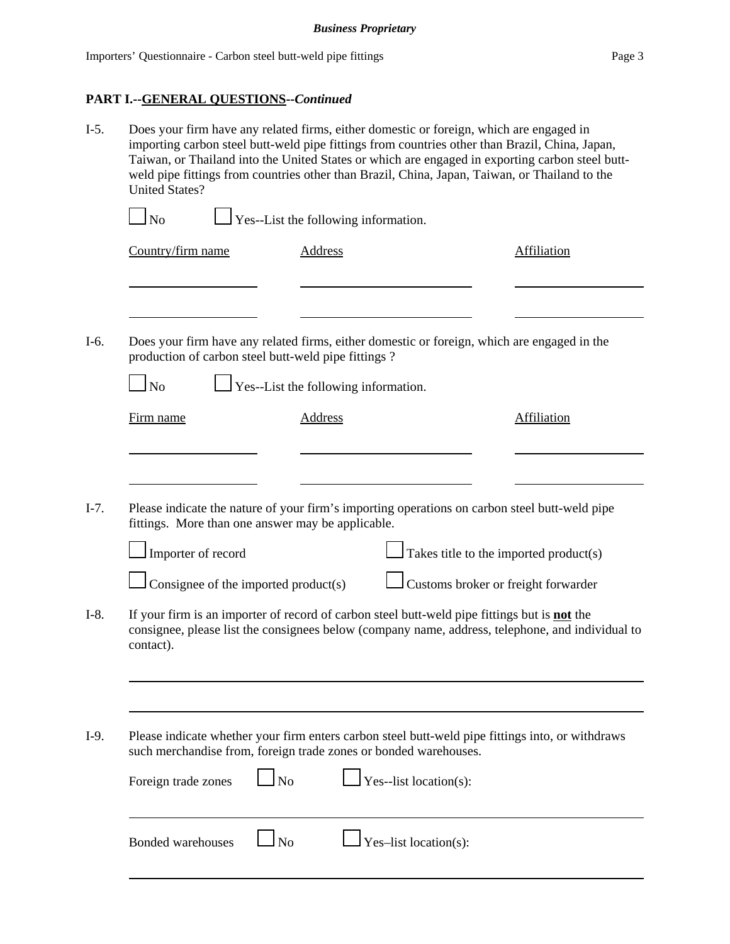# **PART I.--GENERAL QUESTIONS--***Continued*

| $I-5.$ | Does your firm have any related firms, either domestic or foreign, which are engaged in<br>importing carbon steel butt-weld pipe fittings from countries other than Brazil, China, Japan,<br>Taiwan, or Thailand into the United States or which are engaged in exporting carbon steel butt-<br>weld pipe fittings from countries other than Brazil, China, Japan, Taiwan, or Thailand to the<br><b>United States?</b> |                                      |                |                        |  |                                                                                                  |  |
|--------|------------------------------------------------------------------------------------------------------------------------------------------------------------------------------------------------------------------------------------------------------------------------------------------------------------------------------------------------------------------------------------------------------------------------|--------------------------------------|----------------|------------------------|--|--------------------------------------------------------------------------------------------------|--|
|        | Yes--List the following information.<br>$\Box$ No                                                                                                                                                                                                                                                                                                                                                                      |                                      |                |                        |  |                                                                                                  |  |
|        | Country/firm name                                                                                                                                                                                                                                                                                                                                                                                                      |                                      | <b>Address</b> |                        |  | <b>Affiliation</b>                                                                               |  |
| $I-6.$ | Does your firm have any related firms, either domestic or foreign, which are engaged in the<br>production of carbon steel butt-weld pipe fittings?<br>$\mathbf{\mathbf{I}}$ No                                                                                                                                                                                                                                         | Yes--List the following information. |                |                        |  |                                                                                                  |  |
|        | Firm name                                                                                                                                                                                                                                                                                                                                                                                                              |                                      | Address        |                        |  | <b>Affiliation</b>                                                                               |  |
| $I-7.$ | Please indicate the nature of your firm's importing operations on carbon steel butt-weld pipe<br>fittings. More than one answer may be applicable.<br>Importer of record<br>Consignee of the imported product(s)                                                                                                                                                                                                       |                                      |                |                        |  | $\Box$ Takes title to the imported product(s)<br>Customs broker or freight forwarder             |  |
| $I-8.$ | If your firm is an importer of record of carbon steel butt-weld pipe fittings but is <b>not</b> the<br>contact).                                                                                                                                                                                                                                                                                                       |                                      |                |                        |  | consignee, please list the consignees below (company name, address, telephone, and individual to |  |
| $I-9.$ | such merchandise from, foreign trade zones or bonded warehouses.<br>Foreign trade zones                                                                                                                                                                                                                                                                                                                                | N <sub>o</sub>                       |                | Yes--list location(s): |  | Please indicate whether your firm enters carbon steel butt-weld pipe fittings into, or withdraws |  |
|        | <b>Bonded warehouses</b>                                                                                                                                                                                                                                                                                                                                                                                               | N <sub>0</sub>                       |                | Yes-list location(s):  |  |                                                                                                  |  |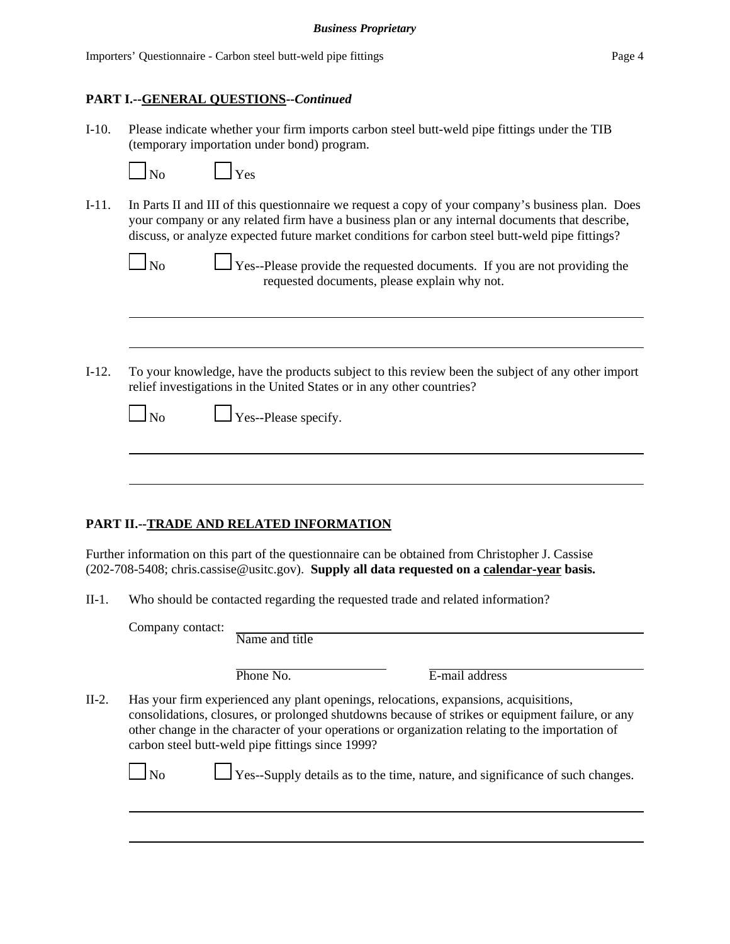### **PART I.--GENERAL QUESTIONS--***Continued*

I-10. Please indicate whether your firm imports carbon steel butt-weld pipe fittings under the TIB (temporary importation under bond) program.

| Nο |  |
|----|--|

 $Y_{\rm es}$ 

I-11. In Parts II and III of this questionnaire we request a copy of your company's business plan. Does your company or any related firm have a business plan or any internal documents that describe, discuss, or analyze expected future market conditions for carbon steel butt-weld pipe fittings?

| Nο<br>ľ |  |
|---------|--|
|         |  |

 $\perp$  Yes--Please provide the requested documents. If you are not providing the requested documents, please explain why not.

I-12. To your knowledge, have the products subject to this review been the subject of any other import relief investigations in the United States or in any other countries?

| Nο |
|----|
|----|

 $\Box$  Yes--Please specify.

# **PART II.--TRADE AND RELATED INFORMATION**

Further information on this part of the questionnaire can be obtained from Christopher J. Cassise (202-708-5408; chris.cassise@usitc.gov). **Supply all data requested on a calendar-year basis.**

II-1. Who should be contacted regarding the requested trade and related information?

Company contact:

| Phone No. |  |
|-----------|--|
|           |  |

E-mail address

II-2. Has your firm experienced any plant openings, relocations, expansions, acquisitions, consolidations, closures, or prolonged shutdowns because of strikes or equipment failure, or any other change in the character of your operations or organization relating to the importation of carbon steel butt-weld pipe fittings since 1999?

 $\Box$  No  $\Box$  Yes--Supply details as to the time, nature, and significance of such changes.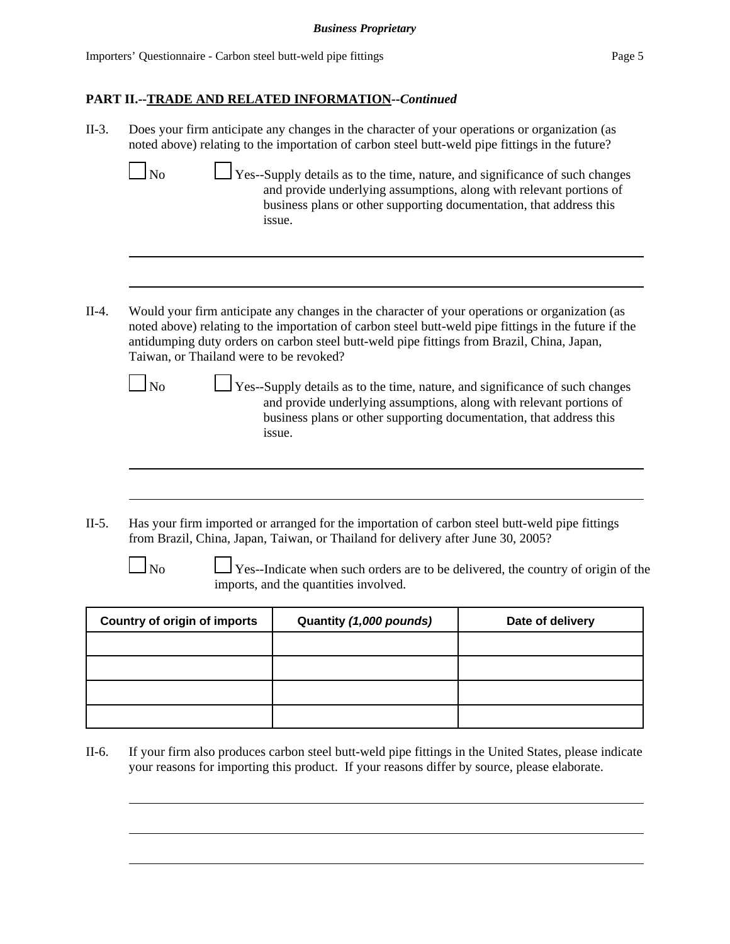# **PART II.--TRADE AND RELATED INFORMATION--***Continued*

| $II-3.$ |                                                      | Does your firm anticipate any changes in the character of your operations or organization (as<br>noted above) relating to the importation of carbon steel butt-weld pipe fittings in the future?                                                                                                                                                                                                                                                                                                                                              |                                                                                  |
|---------|------------------------------------------------------|-----------------------------------------------------------------------------------------------------------------------------------------------------------------------------------------------------------------------------------------------------------------------------------------------------------------------------------------------------------------------------------------------------------------------------------------------------------------------------------------------------------------------------------------------|----------------------------------------------------------------------------------|
|         | N <sub>o</sub>                                       | Yes--Supply details as to the time, nature, and significance of such changes<br>and provide underlying assumptions, along with relevant portions of<br>business plans or other supporting documentation, that address this<br>issue.                                                                                                                                                                                                                                                                                                          |                                                                                  |
| $II-4.$ | Taiwan, or Thailand were to be revoked?<br><b>No</b> | Would your firm anticipate any changes in the character of your operations or organization (as<br>noted above) relating to the importation of carbon steel butt-weld pipe fittings in the future if the<br>antidumping duty orders on carbon steel butt-weld pipe fittings from Brazil, China, Japan,<br>Yes--Supply details as to the time, nature, and significance of such changes<br>and provide underlying assumptions, along with relevant portions of<br>business plans or other supporting documentation, that address this<br>issue. |                                                                                  |
| $II-5.$ |                                                      | Has your firm imported or arranged for the importation of carbon steel butt-weld pipe fittings<br>from Brazil, China, Japan, Taiwan, or Thailand for delivery after June 30, 2005?                                                                                                                                                                                                                                                                                                                                                            |                                                                                  |
|         | N <sub>o</sub>                                       | imports, and the quantities involved.                                                                                                                                                                                                                                                                                                                                                                                                                                                                                                         | Yes--Indicate when such orders are to be delivered, the country of origin of the |
|         | <b>Country of origin of imports</b>                  | Quantity (1,000 pounds)                                                                                                                                                                                                                                                                                                                                                                                                                                                                                                                       | Date of delivery                                                                 |
|         |                                                      |                                                                                                                                                                                                                                                                                                                                                                                                                                                                                                                                               |                                                                                  |

II-6. If your firm also produces carbon steel butt-weld pipe fittings in the United States, please indicate your reasons for importing this product. If your reasons differ by source, please elaborate.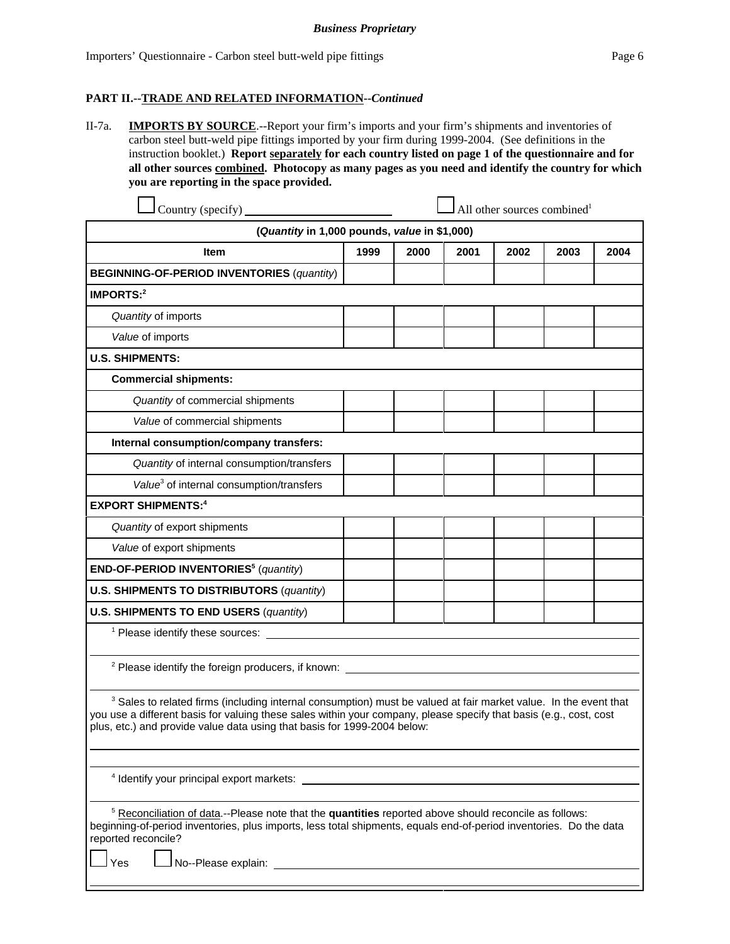#### **PART II.--TRADE AND RELATED INFORMATION--***Continued*

II-7a. **IMPORTS BY SOURCE**.--Report your firm's imports and your firm's shipments and inventories of carbon steel butt-weld pipe fittings imported by your firm during 1999-2004. (See definitions in the instruction booklet.) **Report separately for each country listed on page 1 of the questionnaire and for all other sources combined. Photocopy as many pages as you need and identify the country for which you are reporting in the space provided.**

| Country (specify)                                                                                                                                                                                                                                                                                                             |      |      | All other sources combined <sup>1</sup> |      |      |      |
|-------------------------------------------------------------------------------------------------------------------------------------------------------------------------------------------------------------------------------------------------------------------------------------------------------------------------------|------|------|-----------------------------------------|------|------|------|
| (Quantity in 1,000 pounds, value in \$1,000)                                                                                                                                                                                                                                                                                  |      |      |                                         |      |      |      |
| <b>Item</b>                                                                                                                                                                                                                                                                                                                   | 1999 | 2000 | 2001                                    | 2002 | 2003 | 2004 |
| <b>BEGINNING-OF-PERIOD INVENTORIES (quantity)</b>                                                                                                                                                                                                                                                                             |      |      |                                         |      |      |      |
| <b>IMPORTS:2</b>                                                                                                                                                                                                                                                                                                              |      |      |                                         |      |      |      |
| Quantity of imports                                                                                                                                                                                                                                                                                                           |      |      |                                         |      |      |      |
| Value of imports                                                                                                                                                                                                                                                                                                              |      |      |                                         |      |      |      |
| <b>U.S. SHIPMENTS:</b>                                                                                                                                                                                                                                                                                                        |      |      |                                         |      |      |      |
| <b>Commercial shipments:</b>                                                                                                                                                                                                                                                                                                  |      |      |                                         |      |      |      |
| Quantity of commercial shipments                                                                                                                                                                                                                                                                                              |      |      |                                         |      |      |      |
| Value of commercial shipments                                                                                                                                                                                                                                                                                                 |      |      |                                         |      |      |      |
| Internal consumption/company transfers:                                                                                                                                                                                                                                                                                       |      |      |                                         |      |      |      |
| Quantity of internal consumption/transfers                                                                                                                                                                                                                                                                                    |      |      |                                         |      |      |      |
| Value <sup>3</sup> of internal consumption/transfers                                                                                                                                                                                                                                                                          |      |      |                                         |      |      |      |
| <b>EXPORT SHIPMENTS:4</b>                                                                                                                                                                                                                                                                                                     |      |      |                                         |      |      |      |
| Quantity of export shipments                                                                                                                                                                                                                                                                                                  |      |      |                                         |      |      |      |
| Value of export shipments                                                                                                                                                                                                                                                                                                     |      |      |                                         |      |      |      |
| END-OF-PERIOD INVENTORIES <sup>5</sup> (quantity)                                                                                                                                                                                                                                                                             |      |      |                                         |      |      |      |
| <b>U.S. SHIPMENTS TO DISTRIBUTORS (quantity)</b>                                                                                                                                                                                                                                                                              |      |      |                                         |      |      |      |
| <b>U.S. SHIPMENTS TO END USERS (quantity)</b>                                                                                                                                                                                                                                                                                 |      |      |                                         |      |      |      |
| <sup>1</sup> Please identify these sources:                                                                                                                                                                                                                                                                                   |      |      |                                         |      |      |      |
| <sup>2</sup> Please identify the foreign producers, if known:                                                                                                                                                                                                                                                                 |      |      |                                         |      |      |      |
| <sup>3</sup> Sales to related firms (including internal consumption) must be valued at fair market value. In the event that<br>you use a different basis for valuing these sales within your company, please specify that basis (e.g., cost, cost<br>plus, etc.) and provide value data using that basis for 1999-2004 below: |      |      |                                         |      |      |      |

4 Identify your principal export markets:

<sup>5</sup> Reconciliation of data</u>.--Please note that the **quantities** reported above should reconcile as follows: beginning-of-period inventories, plus imports, less total shipments, equals end-of-period inventories. Do the data reported reconcile?

Yes No--Please explain: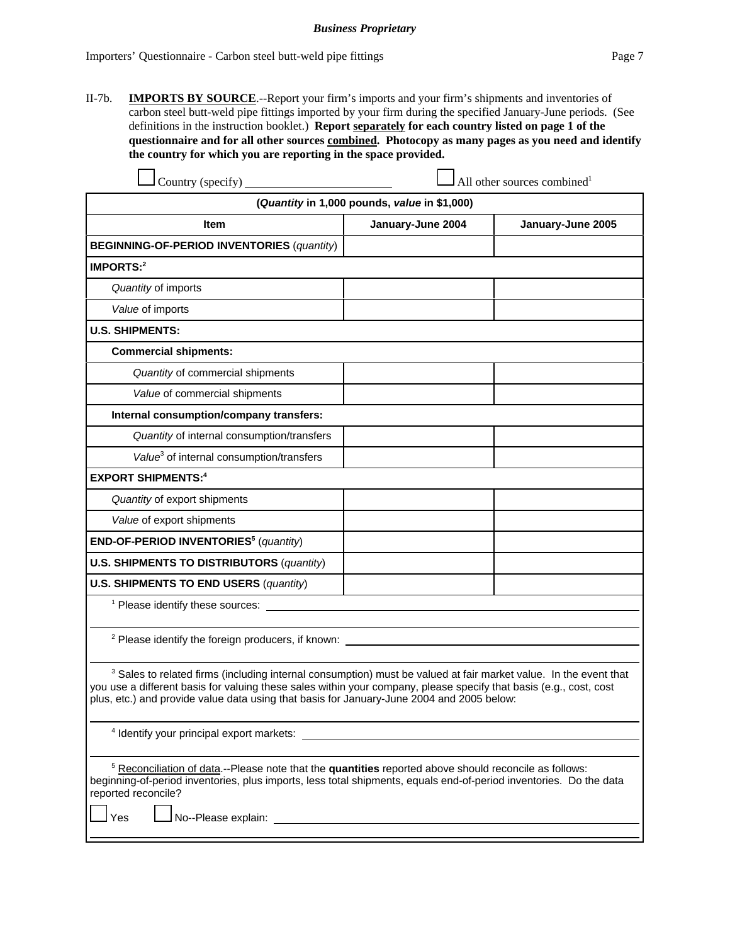II-7b. **IMPORTS BY SOURCE**.--Report your firm's imports and your firm's shipments and inventories of carbon steel butt-weld pipe fittings imported by your firm during the specified January-June periods. (See definitions in the instruction booklet.) **Report separately for each country listed on page 1 of the questionnaire and for all other sources combined. Photocopy as many pages as you need and identify the country for which you are reporting in the space provided.**

| Country (specify)                                                                                                                                                                                                                                                                                                                                                                                                                                                                                       | All other sources combined <sup>1</sup> |                   |  |  |  |  |
|---------------------------------------------------------------------------------------------------------------------------------------------------------------------------------------------------------------------------------------------------------------------------------------------------------------------------------------------------------------------------------------------------------------------------------------------------------------------------------------------------------|-----------------------------------------|-------------------|--|--|--|--|
| (Quantity in 1,000 pounds, value in \$1,000)                                                                                                                                                                                                                                                                                                                                                                                                                                                            |                                         |                   |  |  |  |  |
| Item                                                                                                                                                                                                                                                                                                                                                                                                                                                                                                    | January-June 2004                       | January-June 2005 |  |  |  |  |
| <b>BEGINNING-OF-PERIOD INVENTORIES (quantity)</b>                                                                                                                                                                                                                                                                                                                                                                                                                                                       |                                         |                   |  |  |  |  |
| IMPORTS:2                                                                                                                                                                                                                                                                                                                                                                                                                                                                                               |                                         |                   |  |  |  |  |
| Quantity of imports                                                                                                                                                                                                                                                                                                                                                                                                                                                                                     |                                         |                   |  |  |  |  |
| Value of imports                                                                                                                                                                                                                                                                                                                                                                                                                                                                                        |                                         |                   |  |  |  |  |
| <b>U.S. SHIPMENTS:</b>                                                                                                                                                                                                                                                                                                                                                                                                                                                                                  |                                         |                   |  |  |  |  |
| <b>Commercial shipments:</b>                                                                                                                                                                                                                                                                                                                                                                                                                                                                            |                                         |                   |  |  |  |  |
| Quantity of commercial shipments                                                                                                                                                                                                                                                                                                                                                                                                                                                                        |                                         |                   |  |  |  |  |
| Value of commercial shipments                                                                                                                                                                                                                                                                                                                                                                                                                                                                           |                                         |                   |  |  |  |  |
| Internal consumption/company transfers:                                                                                                                                                                                                                                                                                                                                                                                                                                                                 |                                         |                   |  |  |  |  |
| Quantity of internal consumption/transfers                                                                                                                                                                                                                                                                                                                                                                                                                                                              |                                         |                   |  |  |  |  |
| Value <sup>3</sup> of internal consumption/transfers                                                                                                                                                                                                                                                                                                                                                                                                                                                    |                                         |                   |  |  |  |  |
| <b>EXPORT SHIPMENTS:4</b>                                                                                                                                                                                                                                                                                                                                                                                                                                                                               |                                         |                   |  |  |  |  |
| Quantity of export shipments                                                                                                                                                                                                                                                                                                                                                                                                                                                                            |                                         |                   |  |  |  |  |
| Value of export shipments                                                                                                                                                                                                                                                                                                                                                                                                                                                                               |                                         |                   |  |  |  |  |
| END-OF-PERIOD INVENTORIES <sup>5</sup> (quantity)                                                                                                                                                                                                                                                                                                                                                                                                                                                       |                                         |                   |  |  |  |  |
| <b>U.S. SHIPMENTS TO DISTRIBUTORS (quantity)</b>                                                                                                                                                                                                                                                                                                                                                                                                                                                        |                                         |                   |  |  |  |  |
| <b>U.S. SHIPMENTS TO END USERS (quantity)</b>                                                                                                                                                                                                                                                                                                                                                                                                                                                           |                                         |                   |  |  |  |  |
| <sup>1</sup> Please identify these sources: <u>contract the contract of</u> the contract of the contract of the contract of the contract of the contract of the contract of the contract of the contract of the contract of the contract of                                                                                                                                                                                                                                                             |                                         |                   |  |  |  |  |
|                                                                                                                                                                                                                                                                                                                                                                                                                                                                                                         |                                         |                   |  |  |  |  |
| $2$ Please identify the foreign producers, if known:                                                                                                                                                                                                                                                                                                                                                                                                                                                    |                                         |                   |  |  |  |  |
| <sup>3</sup> Sales to related firms (including internal consumption) must be valued at fair market value. In the event that<br>you use a different basis for valuing these sales within your company, please specify that basis (e.g., cost, cost<br>plus, etc.) and provide value data using that basis for January-June 2004 and 2005 below:                                                                                                                                                          |                                         |                   |  |  |  |  |
| <sup>4</sup> Identify your principal export markets: <b>Alta and Structure and Structure and Structure and Structure and Structure and Structure and Structure and Structure and Structure and Structure and Structure and Structure and </b>                                                                                                                                                                                                                                                           |                                         |                   |  |  |  |  |
| <sup>5</sup> Reconciliation of data.--Please note that the quantities reported above should reconcile as follows:<br>beginning-of-period inventories, plus imports, less total shipments, equals end-of-period inventories. Do the data<br>reported reconcile?<br>No--Please explain: William State State State State State State State State State State State State State State State State State State State State State State State State State State State State State State State State St<br>Yes |                                         |                   |  |  |  |  |
|                                                                                                                                                                                                                                                                                                                                                                                                                                                                                                         |                                         |                   |  |  |  |  |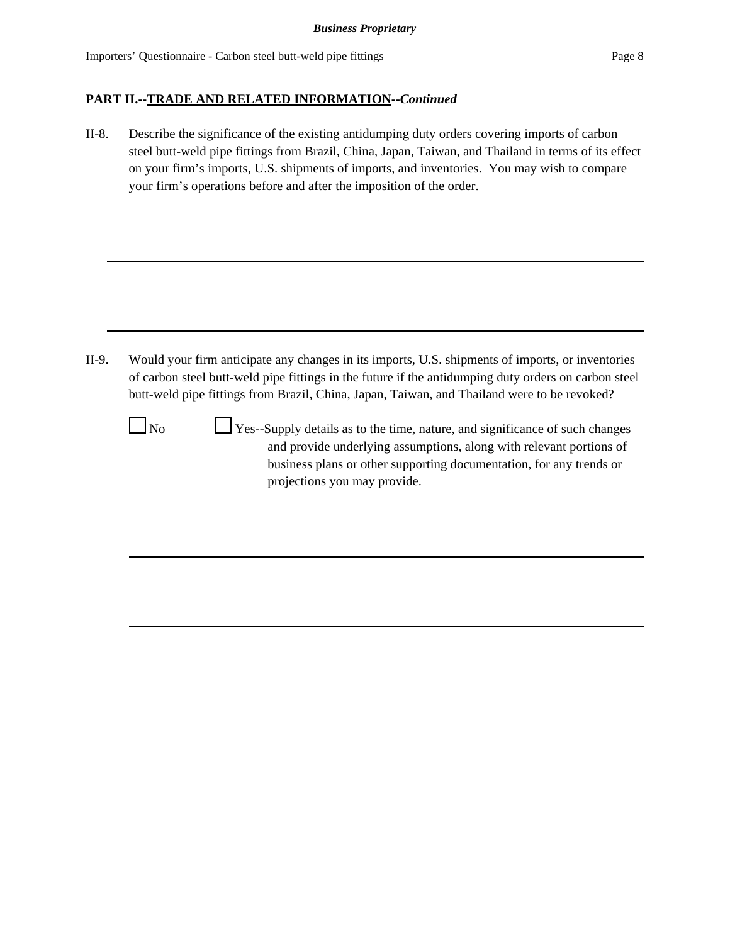### **PART II.--TRADE AND RELATED INFORMATION--***Continued*

II-8. Describe the significance of the existing antidumping duty orders covering imports of carbon steel butt-weld pipe fittings from Brazil, China, Japan, Taiwan, and Thailand in terms of its effect on your firm's imports, U.S. shipments of imports, and inventories. You may wish to compare your firm's operations before and after the imposition of the order.

```
II-9. Would your firm anticipate any changes in its imports, U.S. shipments of imports, or inventories 
of carbon steel butt-weld pipe fittings in the future if the antidumping duty orders on carbon steel
butt-weld pipe fittings from Brazil, China, Japan, Taiwan, and Thailand were to be revoked?
```
 $\Box$  No  $\Box$  Yes--Supply details as to the time, nature, and significance of such changes and provide underlying assumptions, along with relevant portions of business plans or other supporting documentation, for any trends or projections you may provide.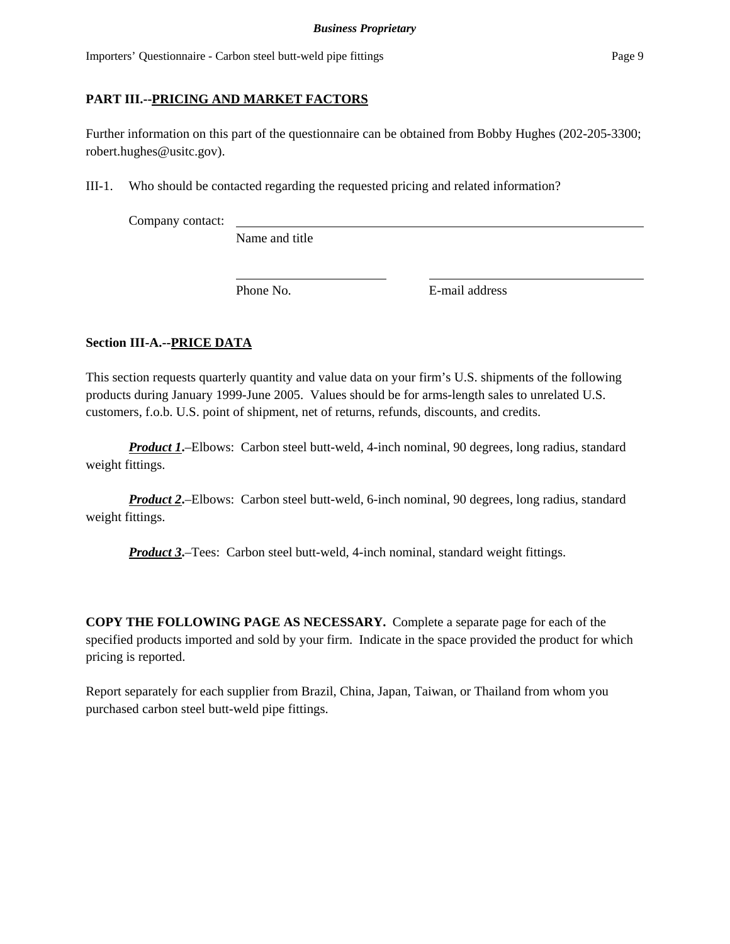# **PART III.--PRICING AND MARKET FACTORS**

Further information on this part of the questionnaire can be obtained from Bobby Hughes (202-205-3300; robert.hughes@usitc.gov).

III-1. Who should be contacted regarding the requested pricing and related information?

Company contact:

Name and title

Phone No. **E**-mail address

# **Section III-A.--PRICE DATA**

This section requests quarterly quantity and value data on your firm's U.S. shipments of the following products during January 1999-June 2005. Values should be for arms-length sales to unrelated U.S. customers, f.o.b. U.S. point of shipment, net of returns, refunds, discounts, and credits.

*Product 1***.**–Elbows: Carbon steel butt-weld, 4-inch nominal, 90 degrees, long radius, standard weight fittings.

*Product 2*—Elbows: Carbon steel butt-weld, 6-inch nominal, 90 degrees, long radius, standard weight fittings.

*Product 3***.**–Tees: Carbon steel butt-weld, 4-inch nominal, standard weight fittings.

**COPY THE FOLLOWING PAGE AS NECESSARY.** Complete a separate page for each of the specified products imported and sold by your firm. Indicate in the space provided the product for which pricing is reported.

Report separately for each supplier from Brazil, China, Japan, Taiwan, or Thailand from whom you purchased carbon steel butt-weld pipe fittings.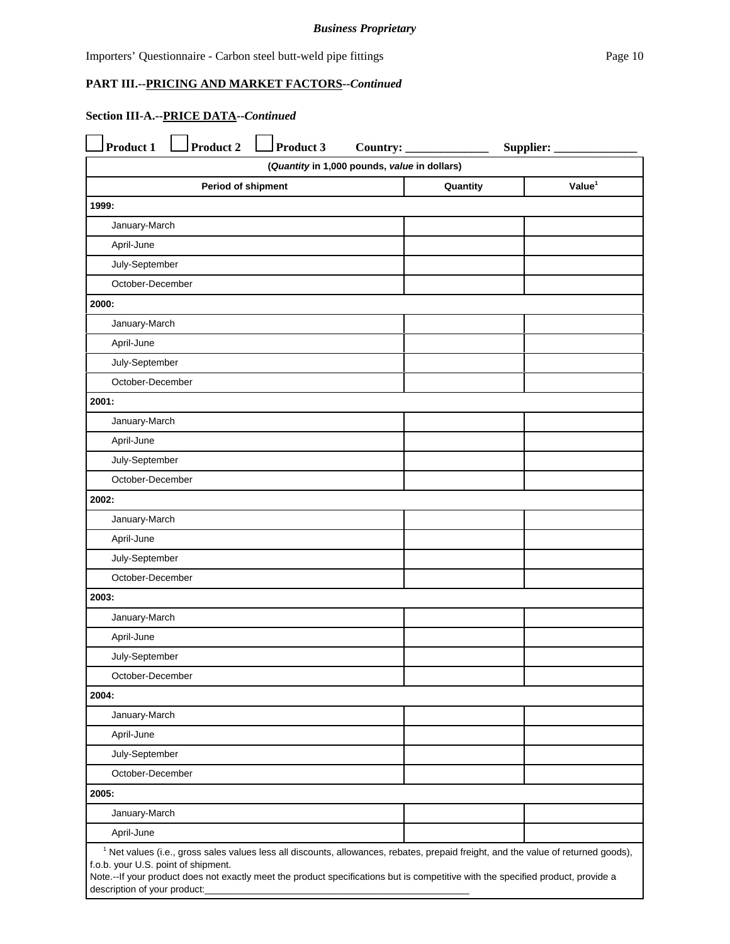Importers' Questionnaire - Carbon steel butt-weld pipe fittings Page 10

# **PART III.--PRICING AND MARKET FACTORS--***Continued*

j.

# **Section III-A.--PRICE DATA--***Continued*

| Product 1                                                                                                                                                                            | <b>Product 2</b>                                            | Product 3 | Country: $\overline{\phantom{a}}$ |  | Supplier: |  |  |
|--------------------------------------------------------------------------------------------------------------------------------------------------------------------------------------|-------------------------------------------------------------|-----------|-----------------------------------|--|-----------|--|--|
| (Quantity in 1,000 pounds, value in dollars)                                                                                                                                         |                                                             |           |                                   |  |           |  |  |
|                                                                                                                                                                                      | Value <sup>1</sup><br><b>Period of shipment</b><br>Quantity |           |                                   |  |           |  |  |
| 1999:                                                                                                                                                                                |                                                             |           |                                   |  |           |  |  |
|                                                                                                                                                                                      | January-March                                               |           |                                   |  |           |  |  |
| April-June                                                                                                                                                                           |                                                             |           |                                   |  |           |  |  |
| July-September                                                                                                                                                                       |                                                             |           |                                   |  |           |  |  |
| October-December                                                                                                                                                                     |                                                             |           |                                   |  |           |  |  |
| 2000:                                                                                                                                                                                |                                                             |           |                                   |  |           |  |  |
| January-March                                                                                                                                                                        |                                                             |           |                                   |  |           |  |  |
| April-June                                                                                                                                                                           |                                                             |           |                                   |  |           |  |  |
|                                                                                                                                                                                      | July-September                                              |           |                                   |  |           |  |  |
| October-December                                                                                                                                                                     |                                                             |           |                                   |  |           |  |  |
| 2001:                                                                                                                                                                                |                                                             |           |                                   |  |           |  |  |
| January-March                                                                                                                                                                        |                                                             |           |                                   |  |           |  |  |
| April-June                                                                                                                                                                           |                                                             |           |                                   |  |           |  |  |
|                                                                                                                                                                                      | July-September                                              |           |                                   |  |           |  |  |
| October-December                                                                                                                                                                     |                                                             |           |                                   |  |           |  |  |
| 2002:                                                                                                                                                                                |                                                             |           |                                   |  |           |  |  |
| January-March                                                                                                                                                                        |                                                             |           |                                   |  |           |  |  |
| April-June                                                                                                                                                                           |                                                             |           |                                   |  |           |  |  |
| July-September                                                                                                                                                                       |                                                             |           |                                   |  |           |  |  |
| October-December                                                                                                                                                                     |                                                             |           |                                   |  |           |  |  |
| 2003:                                                                                                                                                                                |                                                             |           |                                   |  |           |  |  |
| January-March                                                                                                                                                                        |                                                             |           |                                   |  |           |  |  |
| April-June                                                                                                                                                                           |                                                             |           |                                   |  |           |  |  |
| July-September                                                                                                                                                                       |                                                             |           |                                   |  |           |  |  |
| October-December                                                                                                                                                                     |                                                             |           |                                   |  |           |  |  |
| 2004:                                                                                                                                                                                |                                                             |           |                                   |  |           |  |  |
| January-March                                                                                                                                                                        |                                                             |           |                                   |  |           |  |  |
| April-June                                                                                                                                                                           |                                                             |           |                                   |  |           |  |  |
| July-September                                                                                                                                                                       |                                                             |           |                                   |  |           |  |  |
| October-December                                                                                                                                                                     |                                                             |           |                                   |  |           |  |  |
| 2005:                                                                                                                                                                                |                                                             |           |                                   |  |           |  |  |
| January-March                                                                                                                                                                        |                                                             |           |                                   |  |           |  |  |
| April-June                                                                                                                                                                           |                                                             |           |                                   |  |           |  |  |
| <sup>1</sup> Net values (i.e., gross sales values less all discounts, allowances, rebates, prepaid freight, and the value of returned goods),<br>f.o.b. your U.S. point of shipment. |                                                             |           |                                   |  |           |  |  |
| Note.--If your product does not exactly meet the product specifications but is competitive with the specified product, provide a                                                     |                                                             |           |                                   |  |           |  |  |
|                                                                                                                                                                                      | description of your product:_                               |           |                                   |  |           |  |  |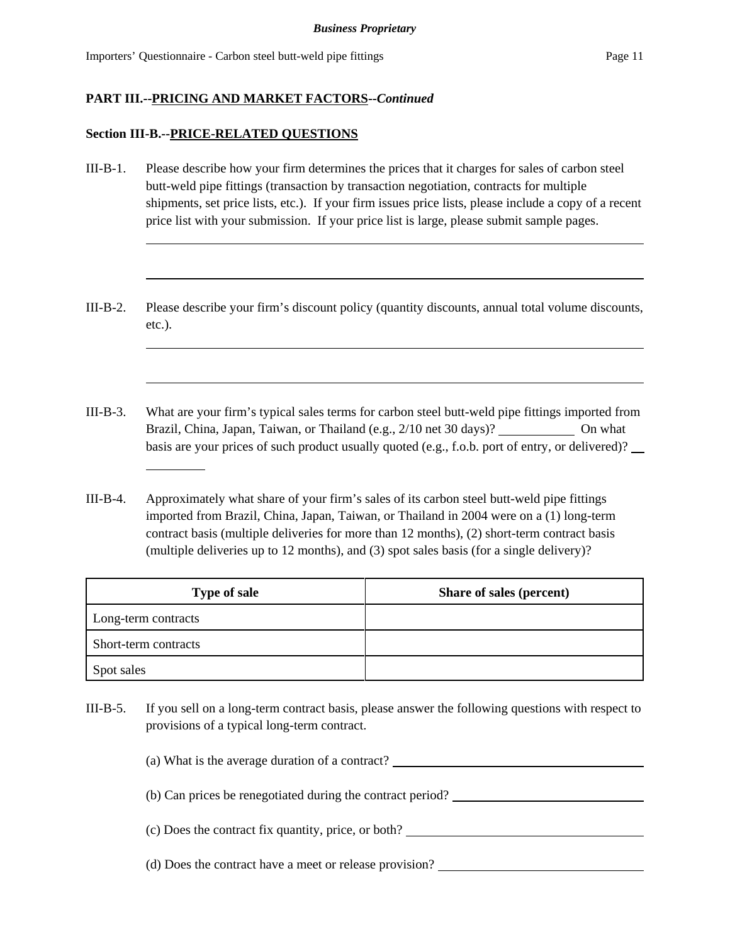#### **Section III-B.--PRICE-RELATED QUESTIONS**

l

- III-B-1. Please describe how your firm determines the prices that it charges for sales of carbon steel butt-weld pipe fittings (transaction by transaction negotiation, contracts for multiple shipments, set price lists, etc.). If your firm issues price lists, please include a copy of a recent price list with your submission. If your price list is large, please submit sample pages.
- III-B-2. Please describe your firm's discount policy (quantity discounts, annual total volume discounts, etc.).
- III-B-3. What are your firm's typical sales terms for carbon steel butt-weld pipe fittings imported from Brazil, China, Japan, Taiwan, or Thailand (e.g., 2/10 net 30 days)? On what basis are your prices of such product usually quoted (e.g., f.o.b. port of entry, or delivered)?
- III-B-4. Approximately what share of your firm's sales of its carbon steel butt-weld pipe fittings imported from Brazil, China, Japan, Taiwan, or Thailand in 2004 were on a (1) long-term contract basis (multiple deliveries for more than 12 months), (2) short-term contract basis (multiple deliveries up to 12 months), and (3) spot sales basis (for a single delivery)?

| <b>Type of sale</b>  | Share of sales (percent) |
|----------------------|--------------------------|
| Long-term contracts  |                          |
| Short-term contracts |                          |
| Spot sales           |                          |

III-B-5. If you sell on a long-term contract basis, please answer the following questions with respect to provisions of a typical long-term contract.

(a) What is the average duration of a contract? (b) Can prices be renegotiated during the contract period? (c) Does the contract fix quantity, price, or both? (d) Does the contract have a meet or release provision?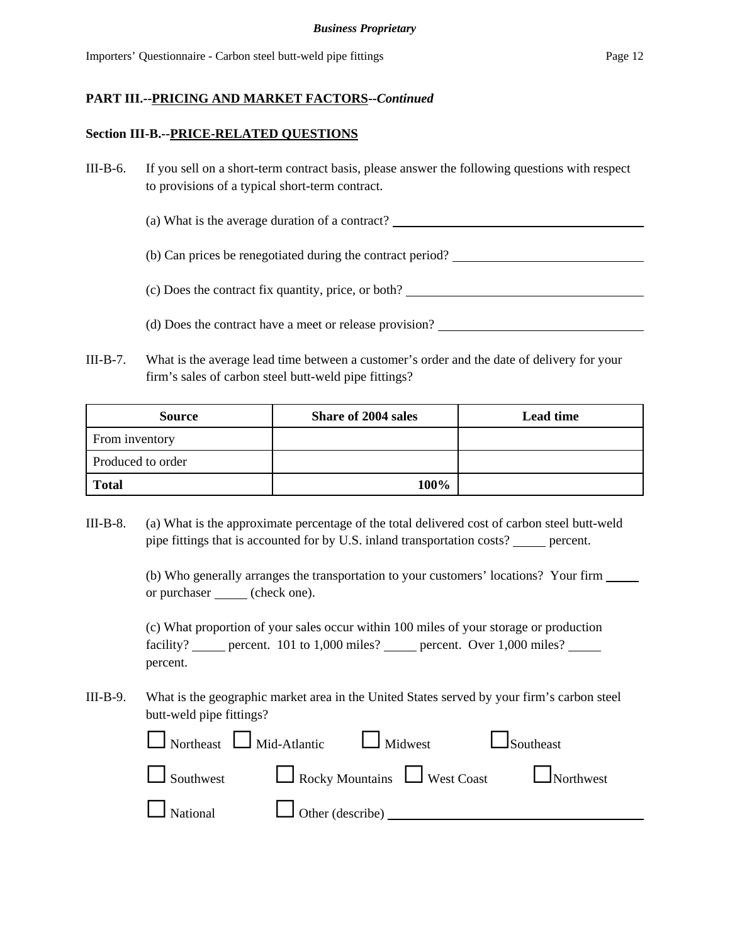#### **Section III-B.--PRICE-RELATED QUESTIONS**

- III-B-6. If you sell on a short-term contract basis, please answer the following questions with respect to provisions of a typical short-term contract.
	- (a) What is the average duration of a contract?

(b) Can prices be renegotiated during the contract period?

(c) Does the contract fix quantity, price, or both?

(d) Does the contract have a meet or release provision?

III-B-7. What is the average lead time between a customer's order and the date of delivery for your firm's sales of carbon steel butt-weld pipe fittings?

| <b>Source</b>     | <b>Share of 2004 sales</b> | <b>Lead time</b> |
|-------------------|----------------------------|------------------|
| From inventory    |                            |                  |
| Produced to order |                            |                  |
| <b>Total</b>      | 100%                       |                  |

III-B-8. (a) What is the approximate percentage of the total delivered cost of carbon steel butt-weld pipe fittings that is accounted for by U.S. inland transportation costs? \_\_\_\_\_ percent.

> (b) Who generally arranges the transportation to your customers' locations? Your firm or purchaser (check one).

(c) What proportion of your sales occur within 100 miles of your storage or production facility? \_\_\_\_\_ percent. 101 to 1,000 miles? \_\_\_\_\_ percent. Over 1,000 miles? \_\_\_\_ percent.

III-B-9. What is the geographic market area in the United States served by your firm's carbon steel butt-weld pipe fittings?

|  | $\Box$ Northeast $\Box$ Mid-Atlantic $\Box$ Midwest | $\Box$ Southeast                               |
|--|-----------------------------------------------------|------------------------------------------------|
|  |                                                     | Southwest Rocky Mountains West Coast Northwest |
|  | National Other (describe)                           |                                                |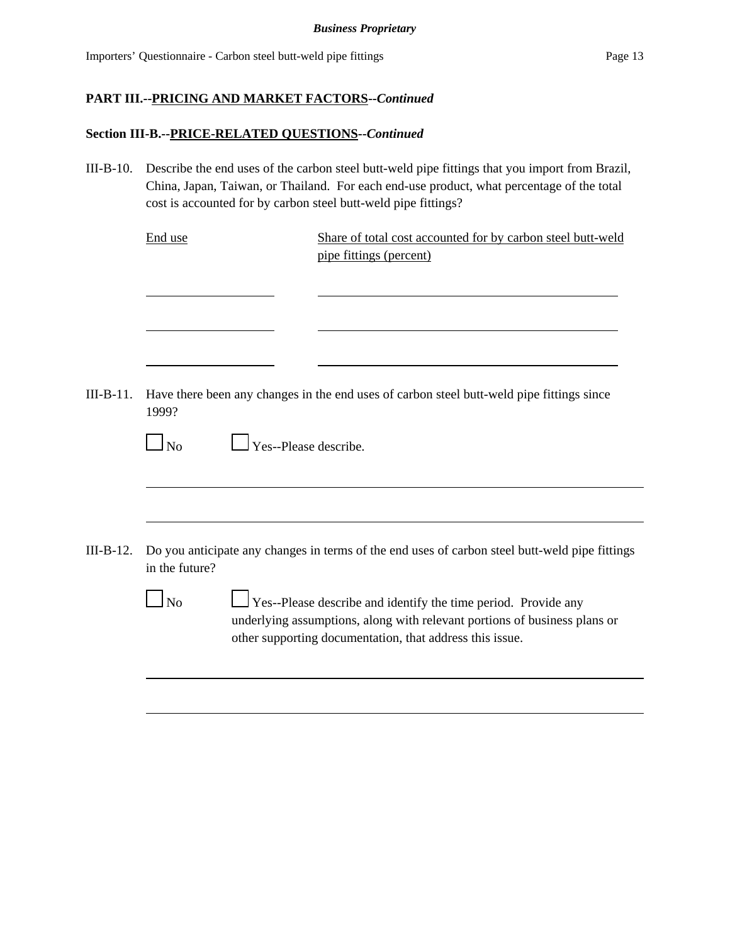#### **Section III-B.--PRICE-RELATED QUESTIONS--***Continued*

III-B-10. Describe the end uses of the carbon steel butt-weld pipe fittings that you import from Brazil, China, Japan, Taiwan, or Thailand. For each end-use product, what percentage of the total cost is accounted for by carbon steel butt-weld pipe fittings?

End use Share of total cost accounted for by carbon steel butt-weld pipe fittings (percent)

III-B-11. Have there been any changes in the end uses of carbon steel butt-weld pipe fittings since 1999?

| N <sub>0</sub> | $\Box$ Yes--Please describe. |  |
|----------------|------------------------------|--|
|                |                              |  |

- III-B-12. Do you anticipate any changes in terms of the end uses of carbon steel butt-weld pipe fittings in the future?
	- $\Box$  No  $\Box$  Yes--Please describe and identify the time period. Provide any underlying assumptions, along with relevant portions of business plans or other supporting documentation, that address this issue.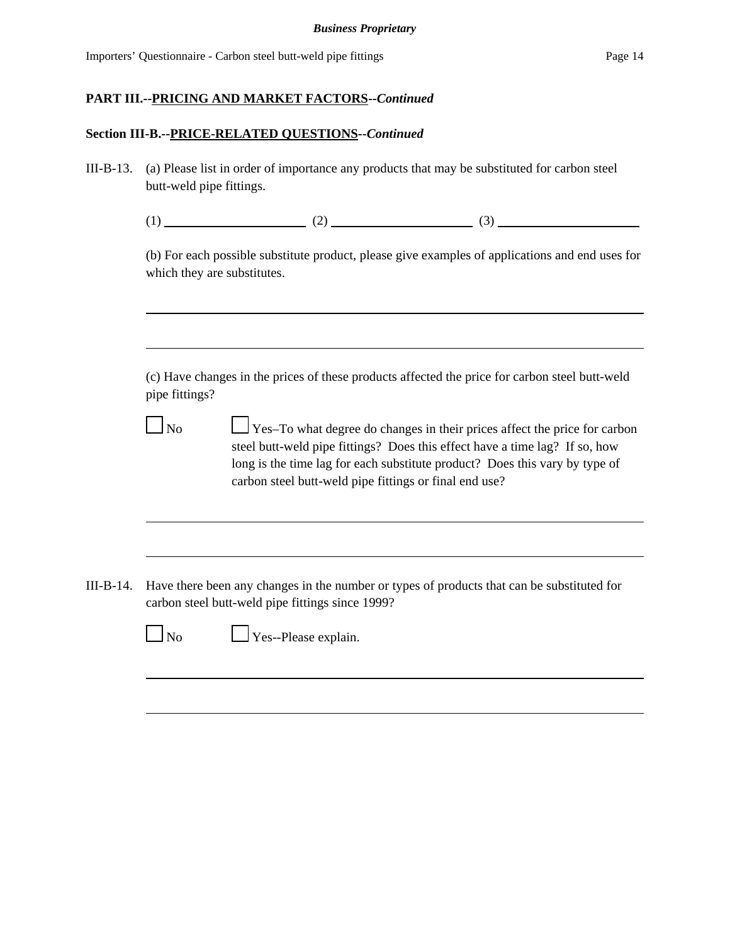### **Section III-B.--PRICE-RELATED QUESTIONS--***Continued*

III-B-13. (a) Please list in order of importance any products that may be substituted for carbon steel butt-weld pipe fittings.

|--|--|--|

(b) For each possible substitute product, please give examples of applications and end uses for which they are substitutes.

(c) Have changes in the prices of these products affected the price for carbon steel butt-weld pipe fittings?

 $\Box$  No  $\Box$  Yes–To what degree do changes in their prices affect the price for carbon steel butt-weld pipe fittings? Does this effect have a time lag? If so, how long is the time lag for each substitute product? Does this vary by type of carbon steel butt-weld pipe fittings or final end use?

III-B-14. Have there been any changes in the number or types of products that can be substituted for carbon steel butt-weld pipe fittings since 1999?



No Please explain.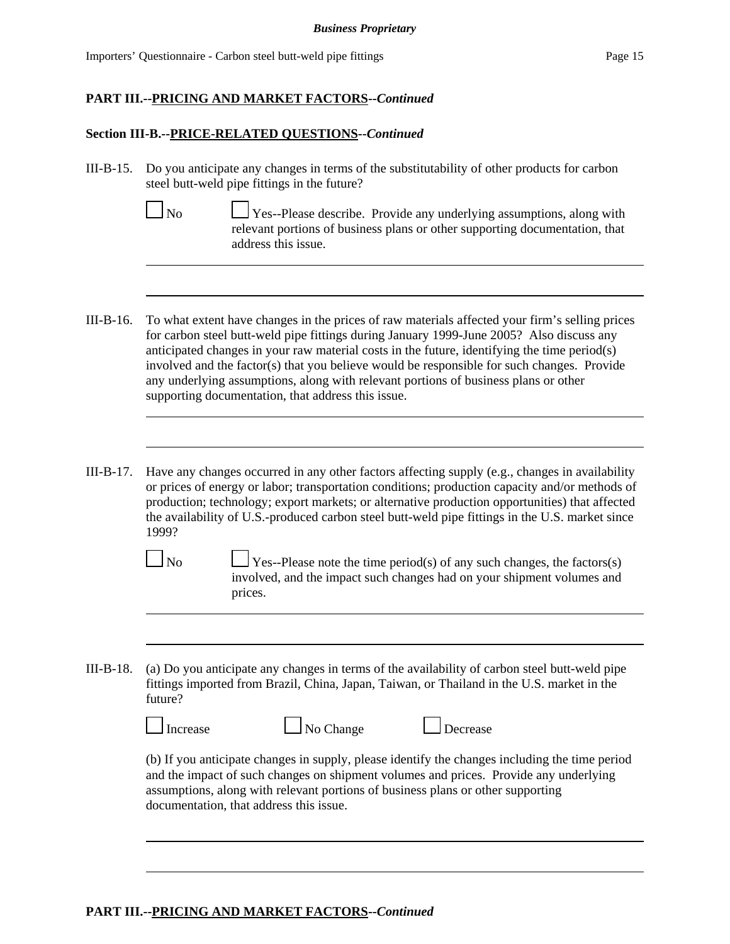Importers' Questionnaire - Carbon steel butt-weld pipe fittings Page 15

# **PART III.--PRICING AND MARKET FACTORS--***Continued*

### **Section III-B.--PRICE-RELATED QUESTIONS--***Continued*

III-B-15. Do you anticipate any changes in terms of the substitutability of other products for carbon steel butt-weld pipe fittings in the future?

Yes--Please describe. Provide any underlying assumptions, along with relevant portions of business plans or other supporting documentation, that address this issue.

- III-B-16. To what extent have changes in the prices of raw materials affected your firm's selling prices for carbon steel butt-weld pipe fittings during January 1999-June 2005? Also discuss any anticipated changes in your raw material costs in the future, identifying the time period(s) involved and the factor(s) that you believe would be responsible for such changes. Provide any underlying assumptions, along with relevant portions of business plans or other supporting documentation, that address this issue.
- III-B-17. Have any changes occurred in any other factors affecting supply (e.g., changes in availability or prices of energy or labor; transportation conditions; production capacity and/or methods of production; technology; export markets; or alternative production opportunities) that affected the availability of U.S.-produced carbon steel butt-weld pipe fittings in the U.S. market since 1999?

 $\Box$  No  $\Box$  Yes--Please note the time period(s) of any such changes, the factors(s) involved, and the impact such changes had on your shipment volumes and prices.

III-B-18. (a) Do you anticipate any changes in terms of the availability of carbon steel butt-weld pipe fittings imported from Brazil, China, Japan, Taiwan, or Thailand in the U.S. market in the future?

| I Increase |  |
|------------|--|



(b) If you anticipate changes in supply, please identify the changes including the time period and the impact of such changes on shipment volumes and prices. Provide any underlying assumptions, along with relevant portions of business plans or other supporting documentation, that address this issue.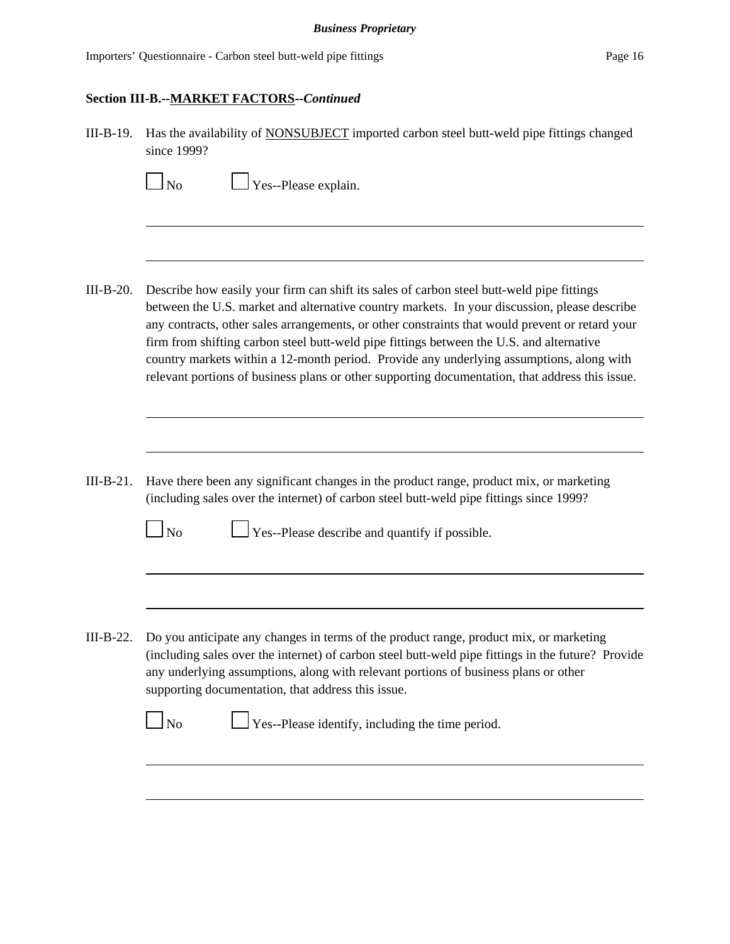Importers' Questionnaire - Carbon steel butt-weld pipe fittings Page 16

### **Section III-B.--MARKET FACTORS--***Continued*

III-B-19. Has the availability of NONSUBJECT imported carbon steel butt-weld pipe fittings changed since 1999?

 $\Box$  Yes--Please explain.

- III-B-20. Describe how easily your firm can shift its sales of carbon steel butt-weld pipe fittings between the U.S. market and alternative country markets. In your discussion, please describe any contracts, other sales arrangements, or other constraints that would prevent or retard your firm from shifting carbon steel butt-weld pipe fittings between the U.S. and alternative country markets within a 12-month period. Provide any underlying assumptions, along with relevant portions of business plans or other supporting documentation, that address this issue.
- III-B-21. Have there been any significant changes in the product range, product mix, or marketing (including sales over the internet) of carbon steel butt-weld pipe fittings since 1999?

 $\Box$  No  $\Box$  Yes--Please describe and quantify if possible.

III-B-22. Do you anticipate any changes in terms of the product range, product mix, or marketing (including sales over the internet) of carbon steel butt-weld pipe fittings in the future? Provide any underlying assumptions, along with relevant portions of business plans or other supporting documentation, that address this issue.

 $\Box$  No  $\Box$  Yes--Please identify, including the time period.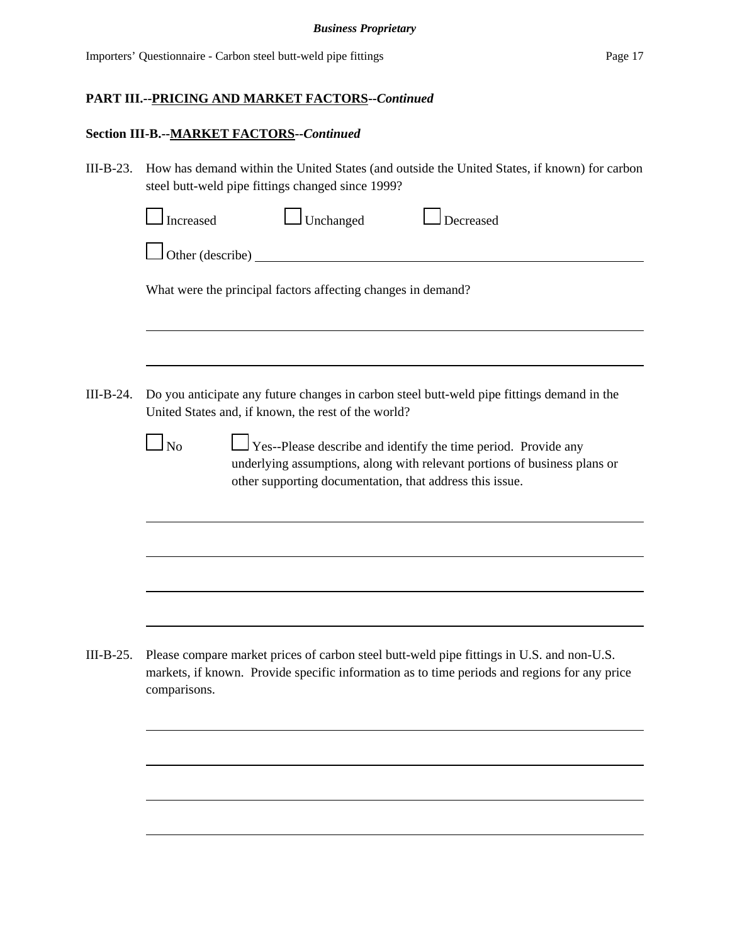### **Section III-B.--MARKET FACTORS--***Continued*

III-B-23. How has demand within the United States (and outside the United States, if known) for carbon steel butt-weld pipe fittings changed since 1999?

|           | Increased                                                                                                                                         |                        | Unchanged                                                    |  | Decreased                                                                                                                                                                                               |  |  |
|-----------|---------------------------------------------------------------------------------------------------------------------------------------------------|------------------------|--------------------------------------------------------------|--|---------------------------------------------------------------------------------------------------------------------------------------------------------------------------------------------------------|--|--|
|           |                                                                                                                                                   | Other (describe) _____ |                                                              |  |                                                                                                                                                                                                         |  |  |
|           |                                                                                                                                                   |                        | What were the principal factors affecting changes in demand? |  |                                                                                                                                                                                                         |  |  |
|           |                                                                                                                                                   |                        |                                                              |  |                                                                                                                                                                                                         |  |  |
| III-B-24. | Do you anticipate any future changes in carbon steel butt-weld pipe fittings demand in the<br>United States and, if known, the rest of the world? |                        |                                                              |  |                                                                                                                                                                                                         |  |  |
|           | No                                                                                                                                                |                        |                                                              |  | Yes--Please describe and identify the time period. Provide any<br>underlying assumptions, along with relevant portions of business plans or<br>other supporting documentation, that address this issue. |  |  |
|           |                                                                                                                                                   |                        |                                                              |  |                                                                                                                                                                                                         |  |  |
|           |                                                                                                                                                   |                        |                                                              |  |                                                                                                                                                                                                         |  |  |
|           |                                                                                                                                                   |                        |                                                              |  |                                                                                                                                                                                                         |  |  |
| III-B-25. | comparisons.                                                                                                                                      |                        |                                                              |  | Please compare market prices of carbon steel butt-weld pipe fittings in U.S. and non-U.S.<br>markets, if known. Provide specific information as to time periods and regions for any price               |  |  |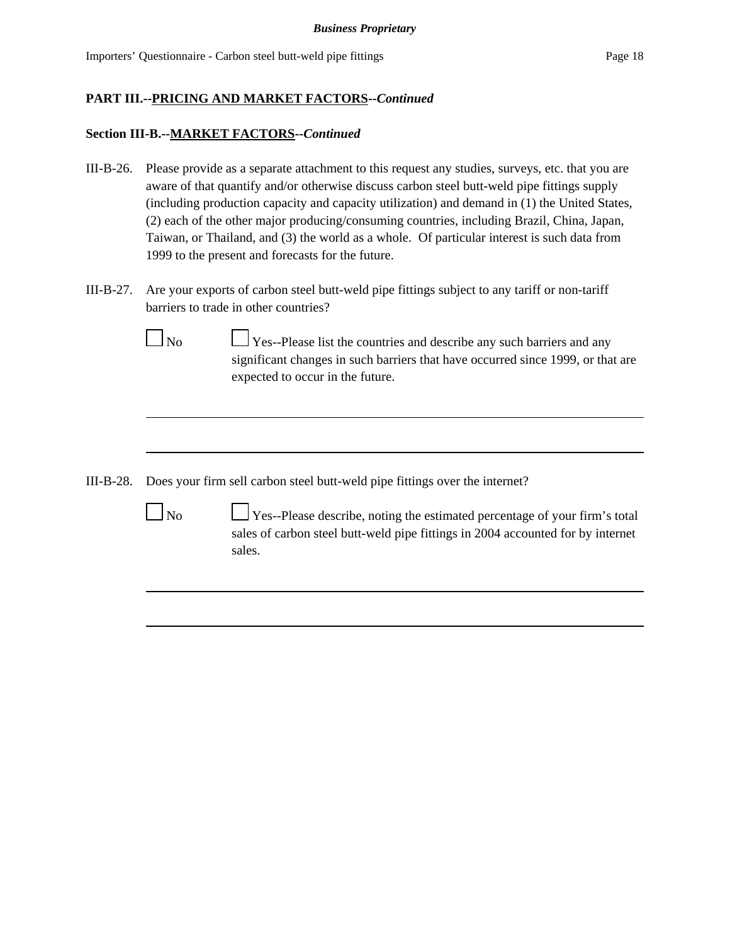### **Section III-B.--MARKET FACTORS--***Continued*

- III-B-26. Please provide as a separate attachment to this request any studies, surveys, etc. that you are aware of that quantify and/or otherwise discuss carbon steel butt-weld pipe fittings supply (including production capacity and capacity utilization) and demand in (1) the United States, (2) each of the other major producing/consuming countries, including Brazil, China, Japan, Taiwan, or Thailand, and (3) the world as a whole. Of particular interest is such data from 1999 to the present and forecasts for the future.
- III-B-27. Are your exports of carbon steel butt-weld pipe fittings subject to any tariff or non-tariff barriers to trade in other countries?



 $\Box$  No  $\Box$  Yes--Please list the countries and describe any such barriers and any significant changes in such barriers that have occurred since 1999, or that are expected to occur in the future.

- III-B-28. Does your firm sell carbon steel butt-weld pipe fittings over the internet?
	-

 $\Box$  No  $\Box$  Yes--Please describe, noting the estimated percentage of your firm's total sales of carbon steel butt-weld pipe fittings in 2004 accounted for by internet sales.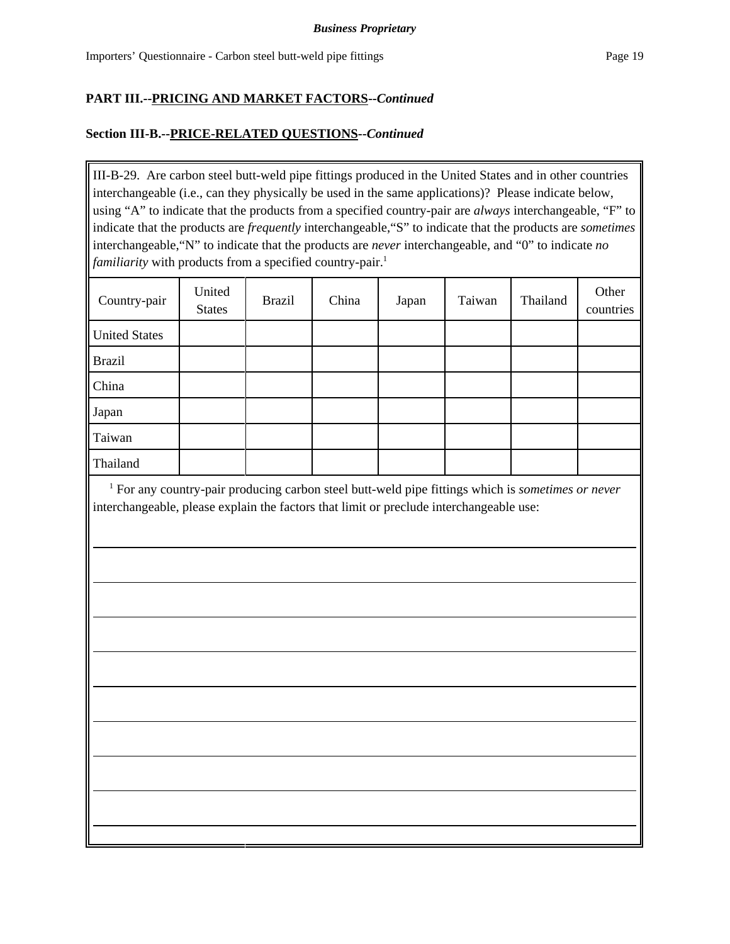## **Section III-B.--PRICE-RELATED QUESTIONS--***Continued*

III-B-29. Are carbon steel butt-weld pipe fittings produced in the United States and in other countries interchangeable (i.e., can they physically be used in the same applications)? Please indicate below, using "A" to indicate that the products from a specified country-pair are *always* interchangeable, "F" to indicate that the products are *frequently* interchangeable,"S" to indicate that the products are *sometimes* interchangeable,"N" to indicate that the products are *never* interchangeable, and "0" to indicate *no familiarity* with products from a specified country-pair.<sup>1</sup>

| Country-pair         | United<br><b>States</b> | <b>Brazil</b> | China | Japan | Taiwan | Thailand | Other<br>countries |
|----------------------|-------------------------|---------------|-------|-------|--------|----------|--------------------|
| <b>United States</b> |                         |               |       |       |        |          |                    |
| <b>Brazil</b>        |                         |               |       |       |        |          |                    |
| China                |                         |               |       |       |        |          |                    |
| Japan                |                         |               |       |       |        |          |                    |
| Taiwan               |                         |               |       |       |        |          |                    |
| Thailand             |                         |               |       |       |        |          |                    |

<sup>1</sup> For any country-pair producing carbon steel butt-weld pipe fittings which is *sometimes or never* interchangeable, please explain the factors that limit or preclude interchangeable use: